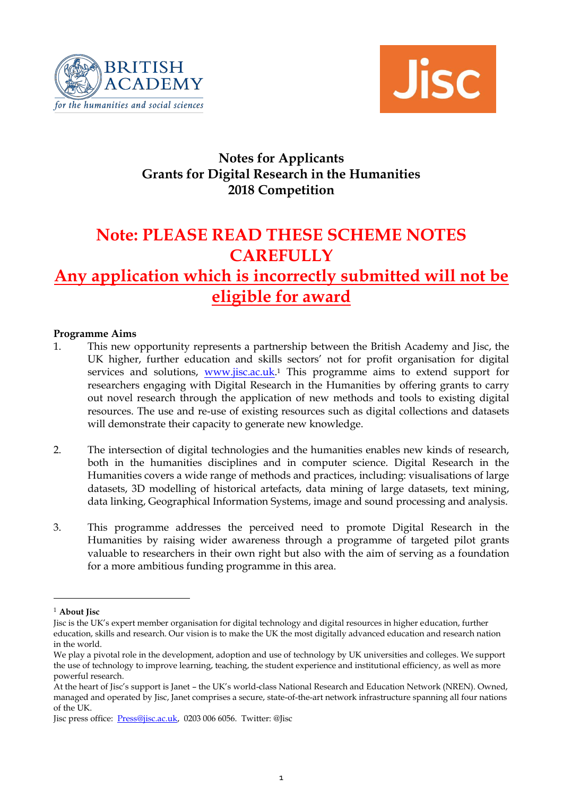



# **Notes for Applicants Grants for Digital Research in the Humanities 2018 Competition**

# **Note: PLEASE READ THESE SCHEME NOTES CAREFULLY**

# **Any application which is incorrectly submitted will not be eligible for award**

#### **Programme Aims**

- 1. This new opportunity represents a partnership between the British Academy and Jisc, the UK higher, further education and skills sectors' not for profit organisation for digital services and solutions, **www.jisc.ac.uk**.<sup>1</sup> This programme aims to extend support for researchers engaging with Digital Research in the Humanities by offering grants to carry out novel research through the application of new methods and tools to existing digital resources. The use and re-use of existing resources such as digital collections and datasets will demonstrate their capacity to generate new knowledge.
- 2. The intersection of digital technologies and the humanities enables new kinds of research, both in the humanities disciplines and in computer science. Digital Research in the Humanities covers a wide range of methods and practices, including: visualisations of large datasets, 3D modelling of historical artefacts, data mining of large datasets, text mining, data linking, Geographical Information Systems, image and sound processing and analysis.
- 3. This programme addresses the perceived need to promote Digital Research in the Humanities by raising wider awareness through a programme of targeted pilot grants valuable to researchers in their own right but also with the aim of serving as a foundation for a more ambitious funding programme in this area.

-

<sup>1</sup> **About Jisc** 

Jisc is the UK's expert member organisation for digital technology and digital resources in higher education, further education, skills and research. Our vision is to make the UK the most digitally advanced education and research nation in the world.

We play a pivotal role in the development, adoption and use of technology by UK universities and colleges. We support the use of technology to improve learning, teaching, the student experience and institutional efficiency, as well as more powerful research.

At the heart of Jisc's support is Janet – the UK's world-class National Research and Education Network (NREN). Owned, managed and operated by Jisc, Janet comprises a secure, state-of-the-art network infrastructure spanning all four nations of the UK.

Jisc press office: [Press@jisc.ac.uk,](mailto:Press@jisc.ac.uk) 0203 006 6056. Twitter: @Jisc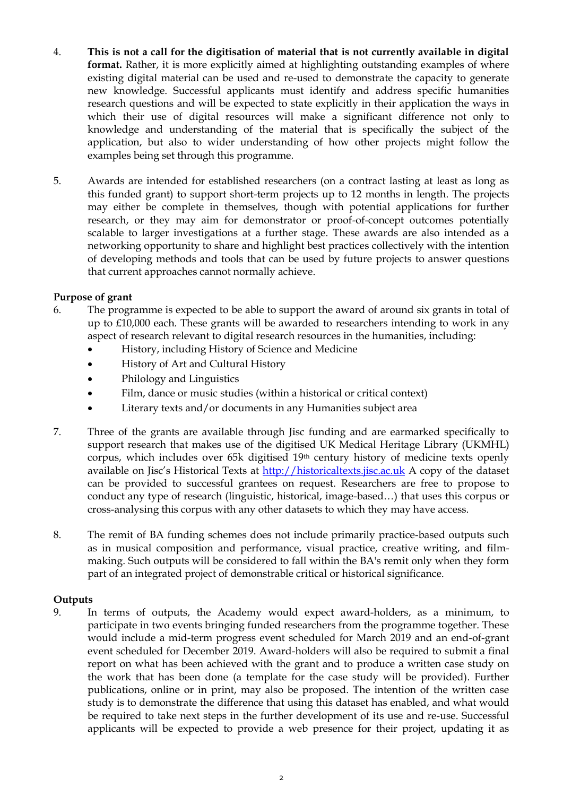- 4. **This is not a call for the digitisation of material that is not currently available in digital format.** Rather, it is more explicitly aimed at highlighting outstanding examples of where existing digital material can be used and re-used to demonstrate the capacity to generate new knowledge. Successful applicants must identify and address specific humanities research questions and will be expected to state explicitly in their application the ways in which their use of digital resources will make a significant difference not only to knowledge and understanding of the material that is specifically the subject of the application, but also to wider understanding of how other projects might follow the examples being set through this programme.
- 5. Awards are intended for established researchers (on a contract lasting at least as long as this funded grant) to support short-term projects up to 12 months in length. The projects may either be complete in themselves, though with potential applications for further research, or they may aim for demonstrator or proof-of-concept outcomes potentially scalable to larger investigations at a further stage. These awards are also intended as a networking opportunity to share and highlight best practices collectively with the intention of developing methods and tools that can be used by future projects to answer questions that current approaches cannot normally achieve.

#### **Purpose of grant**

- 6. The programme is expected to be able to support the award of around six grants in total of up to £10,000 each. These grants will be awarded to researchers intending to work in any aspect of research relevant to digital research resources in the humanities, including:
	- History, including History of Science and Medicine
	- History of Art and Cultural History
	- Philology and Linguistics
	- Film, dance or music studies (within a historical or critical context)
	- Literary texts and/or documents in any Humanities subject area
- 7. Three of the grants are available through Jisc funding and are earmarked specifically to support research that makes use of the digitised UK Medical Heritage Library (UKMHL) corpus, which includes over 65k digitised 19th century history of medicine texts openly available on Jisc's Historical Texts at [http://historicaltexts.jisc.ac.uk](http://historicaltexts.jisc.ac.uk/) A copy of the dataset can be provided to successful grantees on request. Researchers are free to propose to conduct any type of research (linguistic, historical, image-based…) that uses this corpus or cross-analysing this corpus with any other datasets to which they may have access.
- 8. The remit of BA funding schemes does not include primarily practice-based outputs such as in musical composition and performance, visual practice, creative writing, and filmmaking. Such outputs will be considered to fall within the BA's remit only when they form part of an integrated project of demonstrable critical or historical significance.

#### **Outputs**

9. In terms of outputs, the Academy would expect award-holders, as a minimum, to participate in two events bringing funded researchers from the programme together. These would include a mid-term progress event scheduled for March 2019 and an end-of-grant event scheduled for December 2019. Award-holders will also be required to submit a final report on what has been achieved with the grant and to produce a written case study on the work that has been done (a template for the case study will be provided). Further publications, online or in print, may also be proposed. The intention of the written case study is to demonstrate the difference that using this dataset has enabled, and what would be required to take next steps in the further development of its use and re-use. Successful applicants will be expected to provide a web presence for their project, updating it as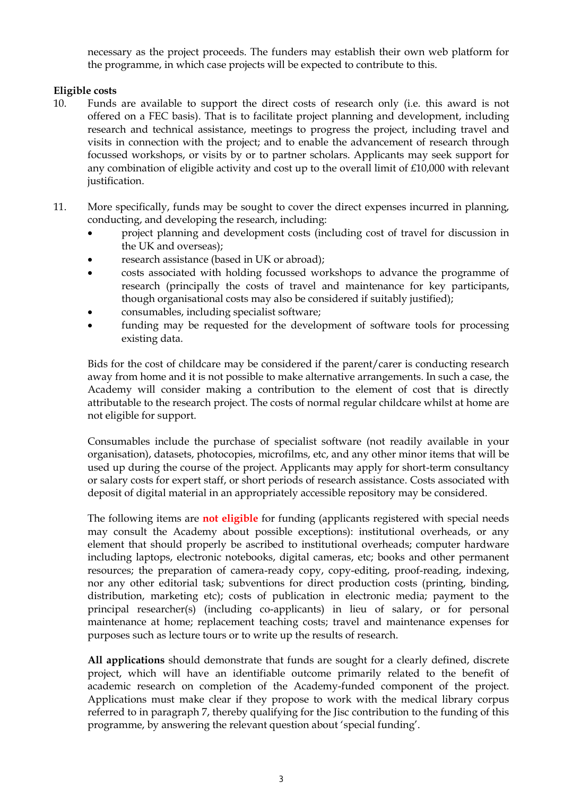necessary as the project proceeds. The funders may establish their own web platform for the programme, in which case projects will be expected to contribute to this.

#### **Eligible costs**

- 10. Funds are available to support the direct costs of research only (i.e. this award is not offered on a FEC basis). That is to facilitate project planning and development, including research and technical assistance, meetings to progress the project, including travel and visits in connection with the project; and to enable the advancement of research through focussed workshops, or visits by or to partner scholars. Applicants may seek support for any combination of eligible activity and cost up to the overall limit of £10,000 with relevant justification.
- 11. More specifically, funds may be sought to cover the direct expenses incurred in planning, conducting, and developing the research, including:
	- project planning and development costs (including cost of travel for discussion in the UK and overseas);
	- research assistance (based in UK or abroad);
	- costs associated with holding focussed workshops to advance the programme of research (principally the costs of travel and maintenance for key participants, though organisational costs may also be considered if suitably justified);
	- consumables, including specialist software;
	- funding may be requested for the development of software tools for processing existing data.

Bids for the cost of childcare may be considered if the parent/carer is conducting research away from home and it is not possible to make alternative arrangements. In such a case, the Academy will consider making a contribution to the element of cost that is directly attributable to the research project. The costs of normal regular childcare whilst at home are not eligible for support.

Consumables include the purchase of specialist software (not readily available in your organisation), datasets, photocopies, microfilms, etc, and any other minor items that will be used up during the course of the project. Applicants may apply for short-term consultancy or salary costs for expert staff, or short periods of research assistance. Costs associated with deposit of digital material in an appropriately accessible repository may be considered.

The following items are **not eligible** for funding (applicants registered with special needs may consult the Academy about possible exceptions): institutional overheads, or any element that should properly be ascribed to institutional overheads; computer hardware including laptops, electronic notebooks, digital cameras, etc; books and other permanent resources; the preparation of camera-ready copy, copy-editing, proof-reading, indexing, nor any other editorial task; subventions for direct production costs (printing, binding, distribution, marketing etc); costs of publication in electronic media; payment to the principal researcher(s) (including co-applicants) in lieu of salary, or for personal maintenance at home; replacement teaching costs; travel and maintenance expenses for purposes such as lecture tours or to write up the results of research.

**All applications** should demonstrate that funds are sought for a clearly defined, discrete project, which will have an identifiable outcome primarily related to the benefit of academic research on completion of the Academy-funded component of the project. Applications must make clear if they propose to work with the medical library corpus referred to in paragraph 7, thereby qualifying for the Jisc contribution to the funding of this programme, by answering the relevant question about 'special funding'.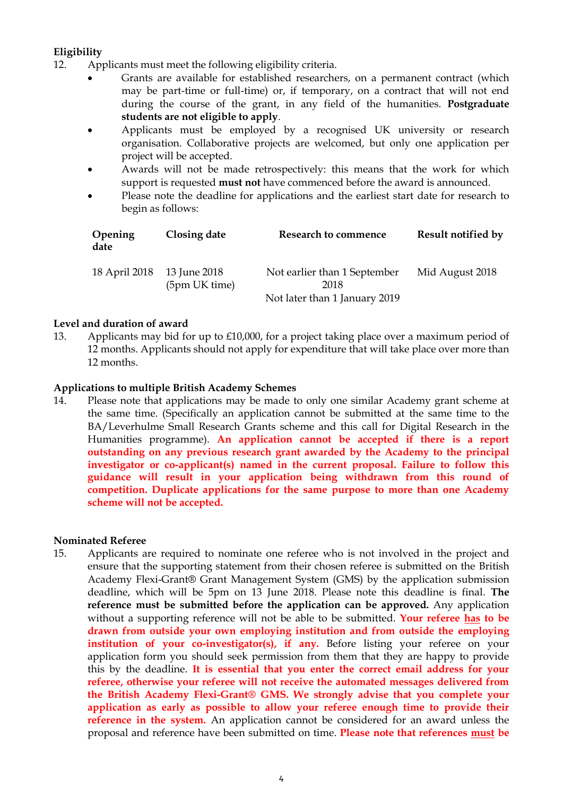#### **Eligibility**

- 12. Applicants must meet the following eligibility criteria.
	- Grants are available for established researchers, on a permanent contract (which may be part-time or full-time) or, if temporary, on a contract that will not end during the course of the grant, in any field of the humanities. **Postgraduate students are not eligible to apply**.
	- Applicants must be employed by a recognised UK university or research organisation. Collaborative projects are welcomed, but only one application per project will be accepted.
	- Awards will not be made retrospectively: this means that the work for which support is requested **must not** have commenced before the award is announced.
	- Please note the deadline for applications and the earliest start date for research to begin as follows:

| Opening<br>date | Closing date                  | Research to commence                                                  | Result notified by |
|-----------------|-------------------------------|-----------------------------------------------------------------------|--------------------|
| 18 April 2018   | 13 June 2018<br>(5pm UK time) | Not earlier than 1 September<br>2018<br>Not later than 1 January 2019 | Mid August 2018    |

#### **Level and duration of award**

13. Applicants may bid for up to £10,000, for a project taking place over a maximum period of 12 months. Applicants should not apply for expenditure that will take place over more than 12 months.

#### **Applications to multiple British Academy Schemes**

14. Please note that applications may be made to only one similar Academy grant scheme at the same time. (Specifically an application cannot be submitted at the same time to the BA/Leverhulme Small Research Grants scheme and this call for Digital Research in the Humanities programme). **An application cannot be accepted if there is a report outstanding on any previous research grant awarded by the Academy to the principal investigator or co-applicant(s) named in the current proposal. Failure to follow this guidance will result in your application being withdrawn from this round of competition. Duplicate applications for the same purpose to more than one Academy scheme will not be accepted.** 

#### **Nominated Referee**

15. Applicants are required to nominate one referee who is not involved in the project and ensure that the supporting statement from their chosen referee is submitted on the British Academy Flexi-Grant® Grant Management System (GMS) by the application submission deadline, which will be 5pm on 13 June 2018. Please note this deadline is final. **The reference must be submitted before the application can be approved.** Any application without a supporting reference will not be able to be submitted. **Your referee has to be drawn from outside your own employing institution and from outside the employing institution of your co-investigator(s), if any.** Before listing your referee on your application form you should seek permission from them that they are happy to provide this by the deadline. **It is essential that you enter the correct email address for your referee, otherwise your referee will not receive the automated messages delivered from the British Academy Flexi-Grant® GMS. We strongly advise that you complete your application as early as possible to allow your referee enough time to provide their reference in the system.** An application cannot be considered for an award unless the proposal and reference have been submitted on time. **Please note that references must be**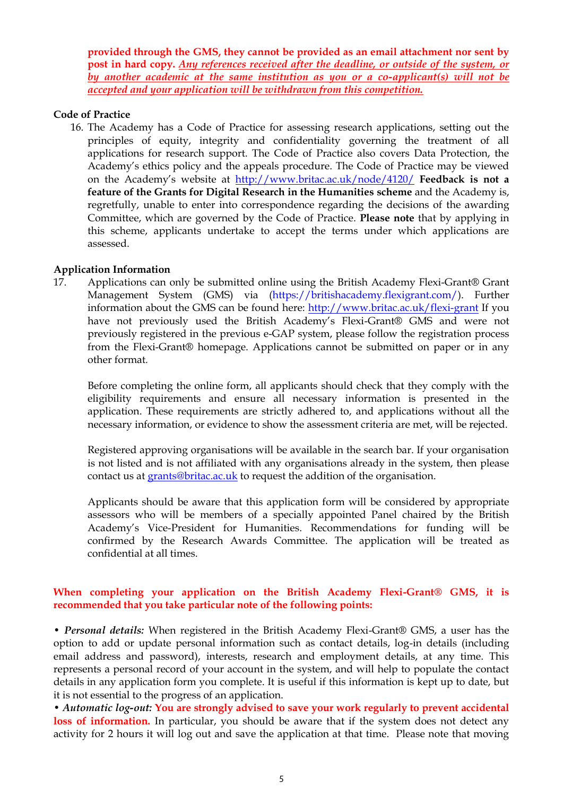**provided through the GMS, they cannot be provided as an email attachment nor sent by post in hard copy.** *Any references received after the deadline, or outside of the system, or by another academic at the same institution as you or a co-applicant(s) will not be accepted and your application will be withdrawn from this competition.* 

#### **Code of Practice**

16. The Academy has a Code of Practice for assessing research applications, setting out the principles of equity, integrity and confidentiality governing the treatment of all applications for research support. The Code of Practice also covers Data Protection, the Academy's ethics policy and the appeals procedure. The Code of Practice may be viewed on the Academy's website at <http://www.britac.ac.uk/node/4120/> **Feedback is not a feature of the Grants for Digital Research in the Humanities scheme** and the Academy is, regretfully, unable to enter into correspondence regarding the decisions of the awarding Committee, which are governed by the Code of Practice. **Please note** that by applying in this scheme, applicants undertake to accept the terms under which applications are assessed.

#### **Application Information**

17. Applications can only be submitted online using the British Academy Flexi-Grant® Grant Management System (GMS) via (https://britishacademy.flexigrant.com/). Further information about the GMS can be found here:<http://www.britac.ac.uk/flexi-grant> If you have not previously used the British Academy's Flexi-Grant® GMS and were not previously registered in the previous e-GAP system, please follow the registration process from the Flexi-Grant® homepage. Applications cannot be submitted on paper or in any other format*.*

Before completing the online form, all applicants should check that they comply with the eligibility requirements and ensure all necessary information is presented in the application. These requirements are strictly adhered to, and applications without all the necessary information, or evidence to show the assessment criteria are met, will be rejected.

Registered approving organisations will be available in the search bar. If your organisation is not listed and is not affiliated with any organisations already in the system, then please contact us at [grants@britac.ac.uk](mailto:grants@britac.ac.uk) to request the addition of the organisation.

Applicants should be aware that this application form will be considered by appropriate assessors who will be members of a specially appointed Panel chaired by the British Academy's Vice-President for Humanities. Recommendations for funding will be confirmed by the Research Awards Committee. The application will be treated as confidential at all times.

#### **When completing your application on the British Academy Flexi-Grant® GMS, it is recommended that you take particular note of the following points:**

• *Personal details:* When registered in the British Academy Flexi-Grant® GMS, a user has the option to add or update personal information such as contact details, log-in details (including email address and password), interests, research and employment details, at any time. This represents a personal record of your account in the system, and will help to populate the contact details in any application form you complete. It is useful if this information is kept up to date, but it is not essential to the progress of an application.

• *Automatic log-out:* **You are strongly advised to save your work regularly to prevent accidental**  loss of information. In particular, you should be aware that if the system does not detect any activity for 2 hours it will log out and save the application at that time. Please note that moving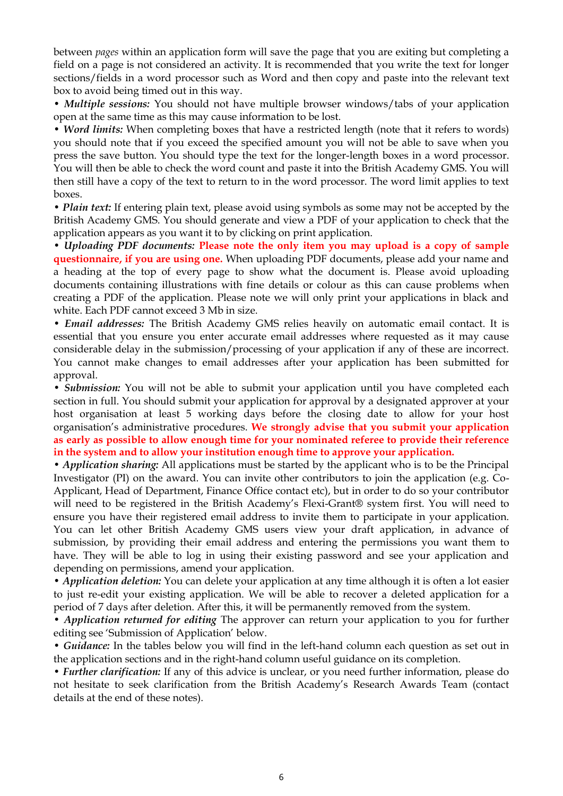between *pages* within an application form will save the page that you are exiting but completing a field on a page is not considered an activity. It is recommended that you write the text for longer sections/fields in a word processor such as Word and then copy and paste into the relevant text box to avoid being timed out in this way.

• *Multiple sessions:* You should not have multiple browser windows/tabs of your application open at the same time as this may cause information to be lost.

• *Word limits:* When completing boxes that have a restricted length (note that it refers to words) you should note that if you exceed the specified amount you will not be able to save when you press the save button. You should type the text for the longer-length boxes in a word processor. You will then be able to check the word count and paste it into the British Academy GMS. You will then still have a copy of the text to return to in the word processor. The word limit applies to text boxes.

• *Plain text:* If entering plain text, please avoid using symbols as some may not be accepted by the British Academy GMS. You should generate and view a PDF of your application to check that the application appears as you want it to by clicking on print application.

• *Uploading PDF documents:* **Please note the only item you may upload is a copy of sample questionnaire, if you are using one.** When uploading PDF documents, please add your name and a heading at the top of every page to show what the document is. Please avoid uploading documents containing illustrations with fine details or colour as this can cause problems when creating a PDF of the application. Please note we will only print your applications in black and white. Each PDF cannot exceed 3 Mb in size.

• *Email addresses:* The British Academy GMS relies heavily on automatic email contact. It is essential that you ensure you enter accurate email addresses where requested as it may cause considerable delay in the submission/processing of your application if any of these are incorrect. You cannot make changes to email addresses after your application has been submitted for approval.

• *Submission:* You will not be able to submit your application until you have completed each section in full. You should submit your application for approval by a designated approver at your host organisation at least 5 working days before the closing date to allow for your host organisation's administrative procedures. **We strongly advise that you submit your application as early as possible to allow enough time for your nominated referee to provide their reference in the system and to allow your institution enough time to approve your application.** 

• *Application sharing:* All applications must be started by the applicant who is to be the Principal Investigator (PI) on the award. You can invite other contributors to join the application (e.g. Co-Applicant, Head of Department, Finance Office contact etc), but in order to do so your contributor will need to be registered in the British Academy's Flexi-Grant® system first. You will need to ensure you have their registered email address to invite them to participate in your application. You can let other British Academy GMS users view your draft application, in advance of submission, by providing their email address and entering the permissions you want them to have. They will be able to log in using their existing password and see your application and depending on permissions, amend your application.

• *Application deletion:* You can delete your application at any time although it is often a lot easier to just re-edit your existing application. We will be able to recover a deleted application for a period of 7 days after deletion. After this, it will be permanently removed from the system.

• *Application returned for editing* The approver can return your application to you for further editing see 'Submission of Application' below.

• *Guidance:* In the tables below you will find in the left-hand column each question as set out in the application sections and in the right-hand column useful guidance on its completion.

• *Further clarification:* If any of this advice is unclear, or you need further information, please do not hesitate to seek clarification from the British Academy's Research Awards Team (contact details at the end of these notes).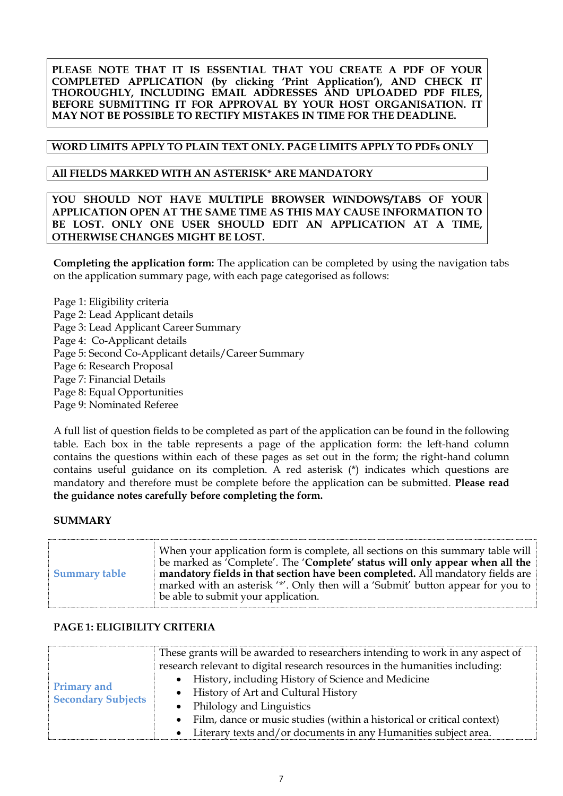**PLEASE NOTE THAT IT IS ESSENTIAL THAT YOU CREATE A PDF OF YOUR COMPLETED APPLICATION (by clicking 'Print Application'), AND CHECK IT THOROUGHLY, INCLUDING EMAIL ADDRESSES AND UPLOADED PDF FILES, BEFORE SUBMITTING IT FOR APPROVAL BY YOUR HOST ORGANISATION. IT MAY NOT BE POSSIBLE TO RECTIFY MISTAKES IN TIME FOR THE DEADLINE.**

### **WORD LIMITS APPLY TO PLAIN TEXT ONLY. PAGE LIMITS APPLY TO PDFs ONLY**

#### **All FIELDS MARKED WITH AN ASTERISK\* ARE MANDATORY**

**YOU SHOULD NOT HAVE MULTIPLE BROWSER WINDOWS/TABS OF YOUR APPLICATION OPEN AT THE SAME TIME AS THIS MAY CAUSE INFORMATION TO BE LOST. ONLY ONE USER SHOULD EDIT AN APPLICATION AT A TIME, OTHERWISE CHANGES MIGHT BE LOST.**

**Completing the application form:** The application can be completed by using the navigation tabs on the application summary page, with each page categorised as follows:

Page 1: Eligibility criteria Page 2: Lead Applicant details Page 3: Lead Applicant Career Summary Page 4: Co-Applicant details Page 5: Second Co-Applicant details/Career Summary Page 6: Research Proposal Page 7: Financial Details Page 8: Equal Opportunities Page 9: Nominated Referee

A full list of question fields to be completed as part of the application can be found in the following table. Each box in the table represents a page of the application form: the left-hand column contains the questions within each of these pages as set out in the form; the right-hand column contains useful guidance on its completion. A red asterisk (\*) indicates which questions are mandatory and therefore must be complete before the application can be submitted. **Please read the guidance notes carefully before completing the form.**

#### **SUMMARY**

| <b>Summary table</b> | When your application form is complete, all sections on this summary table will<br>be marked as 'Complete'. The 'Complete' status will only appear when all the<br>mandatory fields in that section have been completed. All mandatory fields are<br>marked with an asterisk '*'. Only then will a 'Submit' button appear for you to<br>be able to submit your application. |
|----------------------|-----------------------------------------------------------------------------------------------------------------------------------------------------------------------------------------------------------------------------------------------------------------------------------------------------------------------------------------------------------------------------|
|----------------------|-----------------------------------------------------------------------------------------------------------------------------------------------------------------------------------------------------------------------------------------------------------------------------------------------------------------------------------------------------------------------------|

### **PAGE 1: ELIGIBILITY CRITERIA**

| <b>Primary and</b><br><b>Secondary Subjects</b> | These grants will be awarded to researchers intending to work in any aspect of      |
|-------------------------------------------------|-------------------------------------------------------------------------------------|
|                                                 | research relevant to digital research resources in the humanities including:        |
|                                                 | History, including History of Science and Medicine<br>$\bullet$                     |
|                                                 | History of Art and Cultural History<br>$\bullet$                                    |
|                                                 | Philology and Linguistics<br>$\bullet$                                              |
|                                                 | Film, dance or music studies (within a historical or critical context)<br>$\bullet$ |
|                                                 | Literary texts and/or documents in any Humanities subject area.<br>$\bullet$        |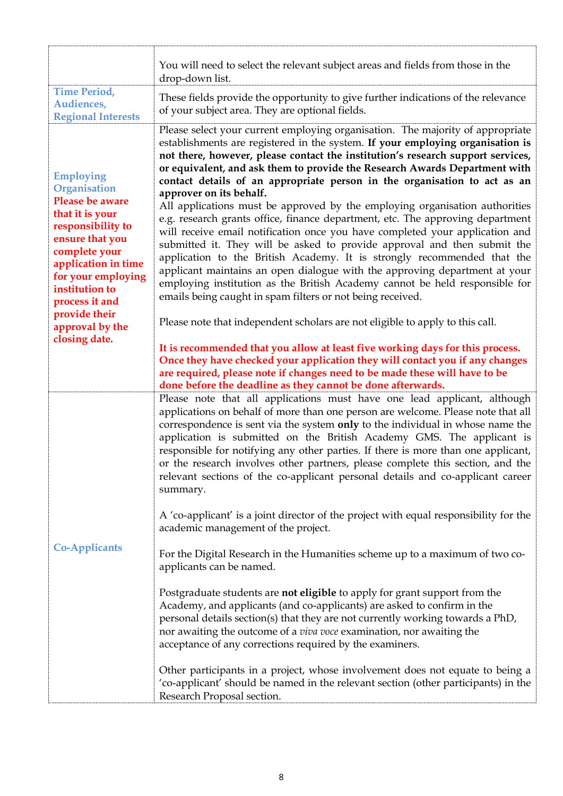|                                                                                                                                                                                                                                                                       | You will need to select the relevant subject areas and fields from those in the<br>drop-down list.                                                                                                                                                                                                                                                                                                                                                                                                                                                                                                                                                                                                                                                                                                                                                                                                                                                                                                                                                                                                                                                                                                                                                                                                                                                                                                                                                                                           |
|-----------------------------------------------------------------------------------------------------------------------------------------------------------------------------------------------------------------------------------------------------------------------|----------------------------------------------------------------------------------------------------------------------------------------------------------------------------------------------------------------------------------------------------------------------------------------------------------------------------------------------------------------------------------------------------------------------------------------------------------------------------------------------------------------------------------------------------------------------------------------------------------------------------------------------------------------------------------------------------------------------------------------------------------------------------------------------------------------------------------------------------------------------------------------------------------------------------------------------------------------------------------------------------------------------------------------------------------------------------------------------------------------------------------------------------------------------------------------------------------------------------------------------------------------------------------------------------------------------------------------------------------------------------------------------------------------------------------------------------------------------------------------------|
| <b>Time Period,</b><br>Audiences,<br><b>Regional Interests</b>                                                                                                                                                                                                        | These fields provide the opportunity to give further indications of the relevance<br>of your subject area. They are optional fields.                                                                                                                                                                                                                                                                                                                                                                                                                                                                                                                                                                                                                                                                                                                                                                                                                                                                                                                                                                                                                                                                                                                                                                                                                                                                                                                                                         |
| <b>Employing</b><br>Organisation<br>Please be aware<br>that it is your<br>responsibility to<br>ensure that you<br>complete your<br>application in time<br>for your employing<br>institution to<br>process it and<br>provide their<br>approval by the<br>closing date. | Please select your current employing organisation. The majority of appropriate<br>establishments are registered in the system. If your employing organisation is<br>not there, however, please contact the institution's research support services,<br>or equivalent, and ask them to provide the Research Awards Department with<br>contact details of an appropriate person in the organisation to act as an<br>approver on its behalf.<br>All applications must be approved by the employing organisation authorities<br>e.g. research grants office, finance department, etc. The approving department<br>will receive email notification once you have completed your application and<br>submitted it. They will be asked to provide approval and then submit the<br>application to the British Academy. It is strongly recommended that the<br>applicant maintains an open dialogue with the approving department at your<br>employing institution as the British Academy cannot be held responsible for<br>emails being caught in spam filters or not being received.<br>Please note that independent scholars are not eligible to apply to this call.<br>It is recommended that you allow at least five working days for this process.<br>Once they have checked your application they will contact you if any changes<br>are required, please note if changes need to be made these will have to be                                                                                 |
| <b>Co-Applicants</b>                                                                                                                                                                                                                                                  | done before the deadline as they cannot be done afterwards.<br>Please note that all applications must have one lead applicant, although<br>applications on behalf of more than one person are welcome. Please note that all<br>correspondence is sent via the system only to the individual in whose name the<br>application is submitted on the British Academy GMS. The applicant is<br>responsible for notifying any other parties. If there is more than one applicant,<br>or the research involves other partners, please complete this section, and the<br>relevant sections of the co-applicant personal details and co-applicant career<br>summary.<br>A 'co-applicant' is a joint director of the project with equal responsibility for the<br>academic management of the project.<br>For the Digital Research in the Humanities scheme up to a maximum of two co-<br>applicants can be named.<br>Postgraduate students are not eligible to apply for grant support from the<br>Academy, and applicants (and co-applicants) are asked to confirm in the<br>personal details section(s) that they are not currently working towards a PhD,<br>nor awaiting the outcome of a viva voce examination, nor awaiting the<br>acceptance of any corrections required by the examiners.<br>Other participants in a project, whose involvement does not equate to being a<br>'co-applicant' should be named in the relevant section (other participants) in the<br>Research Proposal section. |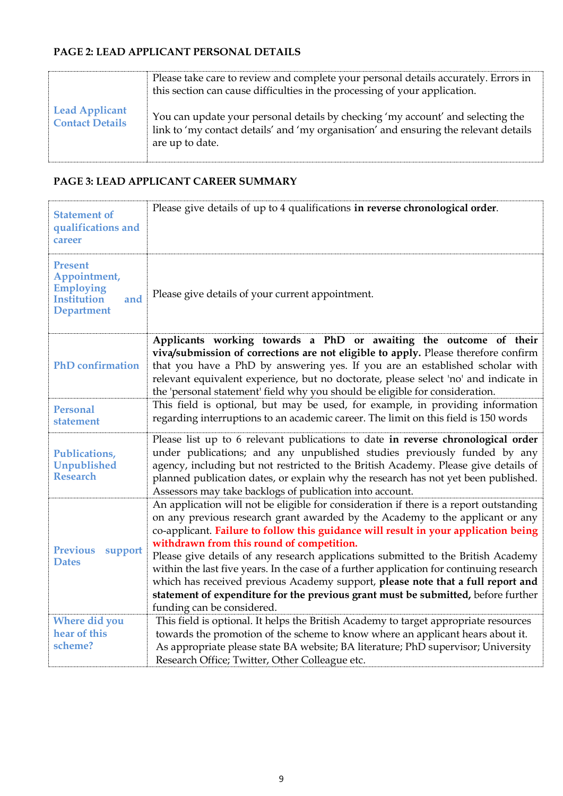## **PAGE 2: LEAD APPLICANT PERSONAL DETAILS**

|                                                 | Please take care to review and complete your personal details accurately. Errors in<br>this section can cause difficulties in the processing of your application.                          |
|-------------------------------------------------|--------------------------------------------------------------------------------------------------------------------------------------------------------------------------------------------|
| <b>Lead Applicant</b><br><b>Contact Details</b> | You can update your personal details by checking 'my account' and selecting the<br>link to 'my contact details' and 'my organisation' and ensuring the relevant details<br>are up to date. |

## **PAGE 3: LEAD APPLICANT CAREER SUMMARY**

| <b>Statement of</b><br>qualifications and<br>career                                                  | Please give details of up to 4 qualifications in reverse chronological order.                                                                                                                                                                                                                                                                                                                                                                                                                                                                                                                                                                                                                      |
|------------------------------------------------------------------------------------------------------|----------------------------------------------------------------------------------------------------------------------------------------------------------------------------------------------------------------------------------------------------------------------------------------------------------------------------------------------------------------------------------------------------------------------------------------------------------------------------------------------------------------------------------------------------------------------------------------------------------------------------------------------------------------------------------------------------|
| <b>Present</b><br>Appointment,<br><b>Employing</b><br><b>Institution</b><br>and<br><b>Department</b> | Please give details of your current appointment.                                                                                                                                                                                                                                                                                                                                                                                                                                                                                                                                                                                                                                                   |
| <b>PhD</b> confirmation                                                                              | Applicants working towards a PhD or awaiting the outcome of their<br>viva/submission of corrections are not eligible to apply. Please therefore confirm<br>that you have a PhD by answering yes. If you are an established scholar with<br>relevant equivalent experience, but no doctorate, please select 'no' and indicate in<br>the 'personal statement' field why you should be eligible for consideration.                                                                                                                                                                                                                                                                                    |
| <b>Personal</b><br>statement                                                                         | This field is optional, but may be used, for example, in providing information<br>regarding interruptions to an academic career. The limit on this field is 150 words                                                                                                                                                                                                                                                                                                                                                                                                                                                                                                                              |
| Publications,<br><b>Unpublished</b><br><b>Research</b>                                               | Please list up to 6 relevant publications to date in reverse chronological order<br>under publications; and any unpublished studies previously funded by any<br>agency, including but not restricted to the British Academy. Please give details of<br>planned publication dates, or explain why the research has not yet been published.<br>Assessors may take backlogs of publication into account.                                                                                                                                                                                                                                                                                              |
| <b>Previous</b><br>support<br><b>Dates</b>                                                           | An application will not be eligible for consideration if there is a report outstanding<br>on any previous research grant awarded by the Academy to the applicant or any<br>co-applicant. Failure to follow this guidance will result in your application being<br>withdrawn from this round of competition.<br>Please give details of any research applications submitted to the British Academy<br>within the last five years. In the case of a further application for continuing research<br>which has received previous Academy support, please note that a full report and<br>statement of expenditure for the previous grant must be submitted, before further<br>funding can be considered. |
| Where did you<br>hear of this<br>scheme?                                                             | This field is optional. It helps the British Academy to target appropriate resources<br>towards the promotion of the scheme to know where an applicant hears about it.<br>As appropriate please state BA website; BA literature; PhD supervisor; University<br>Research Office; Twitter, Other Colleague etc.                                                                                                                                                                                                                                                                                                                                                                                      |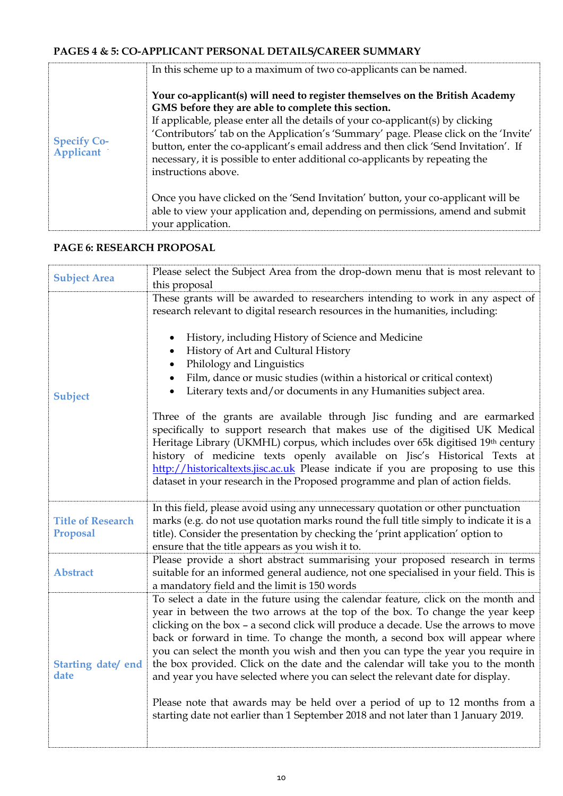# **PAGES 4 & 5: [CO-APPLICANT PERSONAL DETAILS/](https://e-gap.royalsociety.org/EgapApplications/MakeApplication.aspx#tab4)CAREER SUMMARY**

|                                        | In this scheme up to a maximum of two co-applicants can be named.                                                                                                                                                                                                                                                                                                                                                                                                                                           |
|----------------------------------------|-------------------------------------------------------------------------------------------------------------------------------------------------------------------------------------------------------------------------------------------------------------------------------------------------------------------------------------------------------------------------------------------------------------------------------------------------------------------------------------------------------------|
| <b>Specify Co-</b><br><b>Applicant</b> | Your co-applicant(s) will need to register themselves on the British Academy<br>GMS before they are able to complete this section.<br>If applicable, please enter all the details of your co-applicant(s) by clicking<br>'Contributors' tab on the Application's 'Summary' page. Please click on the 'Invite'<br>button, enter the co-applicant's email address and then click 'Send Invitation'. If<br>necessary, it is possible to enter additional co-applicants by repeating the<br>instructions above. |
|                                        | Once you have clicked on the 'Send Invitation' button, your co-applicant will be<br>able to view your application and, depending on permissions, amend and submit<br>your application.                                                                                                                                                                                                                                                                                                                      |

## **PAGE 6: RESEARCH PROPOSAL**

| <b>Subject Area</b>                         | Please select the Subject Area from the drop-down menu that is most relevant to<br>this proposal                                                                                                                                                                                                                                                                                                                                                                                                                                                                                                                                                                                                                                                                      |
|---------------------------------------------|-----------------------------------------------------------------------------------------------------------------------------------------------------------------------------------------------------------------------------------------------------------------------------------------------------------------------------------------------------------------------------------------------------------------------------------------------------------------------------------------------------------------------------------------------------------------------------------------------------------------------------------------------------------------------------------------------------------------------------------------------------------------------|
| Subject                                     | These grants will be awarded to researchers intending to work in any aspect of<br>research relevant to digital research resources in the humanities, including:<br>History, including History of Science and Medicine<br>History of Art and Cultural History<br>Philology and Linguistics<br>Film, dance or music studies (within a historical or critical context)<br>Literary texts and/or documents in any Humanities subject area.<br>Three of the grants are available through Jisc funding and are earmarked<br>specifically to support research that makes use of the digitised UK Medical<br>Heritage Library (UKMHL) corpus, which includes over 65k digitised 19th century<br>history of medicine texts openly available on Jisc's Historical Texts at      |
|                                             | http://historicaltexts.jisc.ac.uk Please indicate if you are proposing to use this<br>dataset in your research in the Proposed programme and plan of action fields.                                                                                                                                                                                                                                                                                                                                                                                                                                                                                                                                                                                                   |
| <b>Title of Research</b><br><b>Proposal</b> | In this field, please avoid using any unnecessary quotation or other punctuation<br>marks (e.g. do not use quotation marks round the full title simply to indicate it is a<br>title). Consider the presentation by checking the 'print application' option to<br>ensure that the title appears as you wish it to.                                                                                                                                                                                                                                                                                                                                                                                                                                                     |
| <b>Abstract</b>                             | Please provide a short abstract summarising your proposed research in terms<br>suitable for an informed general audience, not one specialised in your field. This is<br>a mandatory field and the limit is 150 words                                                                                                                                                                                                                                                                                                                                                                                                                                                                                                                                                  |
| Starting date/ end<br>date                  | To select a date in the future using the calendar feature, click on the month and<br>year in between the two arrows at the top of the box. To change the year keep<br>clicking on the box - a second click will produce a decade. Use the arrows to move<br>back or forward in time. To change the month, a second box will appear where<br>you can select the month you wish and then you can type the year you require in<br>the box provided. Click on the date and the calendar will take you to the month<br>and year you have selected where you can select the relevant date for display.<br>Please note that awards may be held over a period of up to 12 months from a<br>starting date not earlier than 1 September 2018 and not later than 1 January 2019. |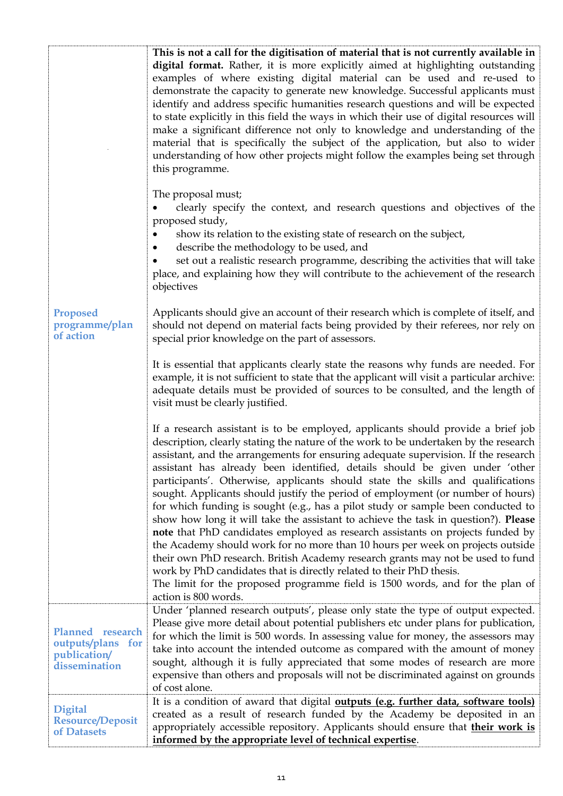| <b>Proposed</b><br>programme/plan<br>of action                         | This is not a call for the digitisation of material that is not currently available in<br>digital format. Rather, it is more explicitly aimed at highlighting outstanding<br>examples of where existing digital material can be used and re-used to<br>demonstrate the capacity to generate new knowledge. Successful applicants must<br>identify and address specific humanities research questions and will be expected<br>to state explicitly in this field the ways in which their use of digital resources will<br>make a significant difference not only to knowledge and understanding of the<br>material that is specifically the subject of the application, but also to wider<br>understanding of how other projects might follow the examples being set through<br>this programme.<br>The proposal must;<br>clearly specify the context, and research questions and objectives of the<br>proposed study,<br>show its relation to the existing state of research on the subject,<br>describe the methodology to be used, and<br>$\bullet$<br>set out a realistic research programme, describing the activities that will take<br>place, and explaining how they will contribute to the achievement of the research<br>objectives<br>Applicants should give an account of their research which is complete of itself, and<br>should not depend on material facts being provided by their referees, nor rely on<br>special prior knowledge on the part of assessors.<br>It is essential that applicants clearly state the reasons why funds are needed. For<br>example, it is not sufficient to state that the applicant will visit a particular archive:<br>adequate details must be provided of sources to be consulted, and the length of<br>visit must be clearly justified.<br>If a research assistant is to be employed, applicants should provide a brief job<br>description, clearly stating the nature of the work to be undertaken by the research<br>assistant, and the arrangements for ensuring adequate supervision. If the research<br>assistant has already been identified, details should be given under 'other<br>participants'. Otherwise, applicants should state the skills and qualifications<br>sought. Applicants should justify the period of employment (or number of hours)<br>for which funding is sought (e.g., has a pilot study or sample been conducted to<br>show how long it will take the assistant to achieve the task in question?). Please<br>note that PhD candidates employed as research assistants on projects funded by |
|------------------------------------------------------------------------|-----------------------------------------------------------------------------------------------------------------------------------------------------------------------------------------------------------------------------------------------------------------------------------------------------------------------------------------------------------------------------------------------------------------------------------------------------------------------------------------------------------------------------------------------------------------------------------------------------------------------------------------------------------------------------------------------------------------------------------------------------------------------------------------------------------------------------------------------------------------------------------------------------------------------------------------------------------------------------------------------------------------------------------------------------------------------------------------------------------------------------------------------------------------------------------------------------------------------------------------------------------------------------------------------------------------------------------------------------------------------------------------------------------------------------------------------------------------------------------------------------------------------------------------------------------------------------------------------------------------------------------------------------------------------------------------------------------------------------------------------------------------------------------------------------------------------------------------------------------------------------------------------------------------------------------------------------------------------------------------------------------------------------------------------------------------------------------------------------------------------------------------------------------------------------------------------------------------------------------------------------------------------------------------------------------------------------------------------------------------------------------------------------------------------------------------------------------------------------------------------------------------------------------------------------------------------------|
|                                                                        | the Academy should work for no more than 10 hours per week on projects outside<br>their own PhD research. British Academy research grants may not be used to fund<br>work by PhD candidates that is directly related to their PhD thesis.<br>The limit for the proposed programme field is 1500 words, and for the plan of<br>action is 800 words.                                                                                                                                                                                                                                                                                                                                                                                                                                                                                                                                                                                                                                                                                                                                                                                                                                                                                                                                                                                                                                                                                                                                                                                                                                                                                                                                                                                                                                                                                                                                                                                                                                                                                                                                                                                                                                                                                                                                                                                                                                                                                                                                                                                                                          |
| Planned research<br>outputs/plans for<br>publication/<br>dissemination | Under 'planned research outputs', please only state the type of output expected.<br>Please give more detail about potential publishers etc under plans for publication,<br>for which the limit is 500 words. In assessing value for money, the assessors may<br>take into account the intended outcome as compared with the amount of money<br>sought, although it is fully appreciated that some modes of research are more<br>expensive than others and proposals will not be discriminated against on grounds<br>of cost alone.                                                                                                                                                                                                                                                                                                                                                                                                                                                                                                                                                                                                                                                                                                                                                                                                                                                                                                                                                                                                                                                                                                                                                                                                                                                                                                                                                                                                                                                                                                                                                                                                                                                                                                                                                                                                                                                                                                                                                                                                                                          |
| <b>Digital</b><br><b>Resource/Deposit</b><br>of Datasets               | It is a condition of award that digital <b>outputs (e.g. further data, software tools)</b><br>created as a result of research funded by the Academy be deposited in an<br>appropriately accessible repository. Applicants should ensure that their work is<br>informed by the appropriate level of technical expertise.                                                                                                                                                                                                                                                                                                                                                                                                                                                                                                                                                                                                                                                                                                                                                                                                                                                                                                                                                                                                                                                                                                                                                                                                                                                                                                                                                                                                                                                                                                                                                                                                                                                                                                                                                                                                                                                                                                                                                                                                                                                                                                                                                                                                                                                     |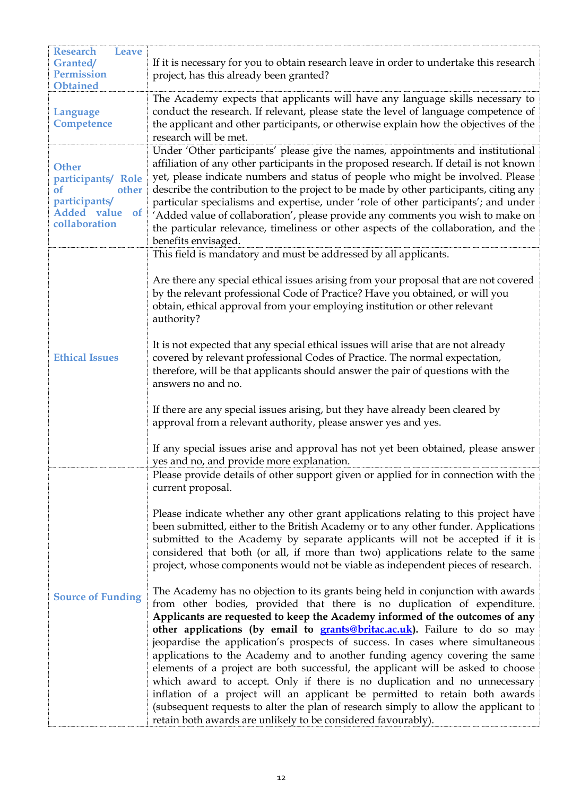| <b>Research</b><br><b>Leave</b><br><b>Granted/</b><br><b>Permission</b><br><b>Obtained</b>                          | If it is necessary for you to obtain research leave in order to undertake this research<br>project, has this already been granted?                                                                                                                                                                                                                                                                                                                                                                                                                                                                                                                                                                                                                                                                                                                                                                                                                                                                                                                                                                                                                                                                                                                                                                                                                                                                                                                          |
|---------------------------------------------------------------------------------------------------------------------|-------------------------------------------------------------------------------------------------------------------------------------------------------------------------------------------------------------------------------------------------------------------------------------------------------------------------------------------------------------------------------------------------------------------------------------------------------------------------------------------------------------------------------------------------------------------------------------------------------------------------------------------------------------------------------------------------------------------------------------------------------------------------------------------------------------------------------------------------------------------------------------------------------------------------------------------------------------------------------------------------------------------------------------------------------------------------------------------------------------------------------------------------------------------------------------------------------------------------------------------------------------------------------------------------------------------------------------------------------------------------------------------------------------------------------------------------------------|
| <b>Language</b><br>Competence                                                                                       | The Academy expects that applicants will have any language skills necessary to<br>conduct the research. If relevant, please state the level of language competence of<br>the applicant and other participants, or otherwise explain how the objectives of the<br>research will be met.                                                                                                                                                                                                                                                                                                                                                                                                                                                                                                                                                                                                                                                                                                                                                                                                                                                                                                                                                                                                                                                                                                                                                                      |
| <b>Other</b><br>participants/ Role<br><sub>of</sub><br>other<br>participants/<br>Added value<br>of<br>collaboration | Under 'Other participants' please give the names, appointments and institutional<br>affiliation of any other participants in the proposed research. If detail is not known<br>yet, please indicate numbers and status of people who might be involved. Please<br>describe the contribution to the project to be made by other participants, citing any<br>particular specialisms and expertise, under 'role of other participants'; and under<br>'Added value of collaboration', please provide any comments you wish to make on<br>the particular relevance, timeliness or other aspects of the collaboration, and the<br>benefits envisaged.                                                                                                                                                                                                                                                                                                                                                                                                                                                                                                                                                                                                                                                                                                                                                                                                              |
| <b>Ethical Issues</b>                                                                                               | This field is mandatory and must be addressed by all applicants.<br>Are there any special ethical issues arising from your proposal that are not covered<br>by the relevant professional Code of Practice? Have you obtained, or will you<br>obtain, ethical approval from your employing institution or other relevant<br>authority?<br>It is not expected that any special ethical issues will arise that are not already<br>covered by relevant professional Codes of Practice. The normal expectation,<br>therefore, will be that applicants should answer the pair of questions with the<br>answers no and no.<br>If there are any special issues arising, but they have already been cleared by<br>approval from a relevant authority, please answer yes and yes.<br>If any special issues arise and approval has not yet been obtained, please answer<br>yes and no, and provide more explanation.                                                                                                                                                                                                                                                                                                                                                                                                                                                                                                                                                   |
| <b>Source of Funding</b>                                                                                            | Please provide details of other support given or applied for in connection with the<br>current proposal.<br>Please indicate whether any other grant applications relating to this project have<br>been submitted, either to the British Academy or to any other funder. Applications<br>submitted to the Academy by separate applicants will not be accepted if it is<br>considered that both (or all, if more than two) applications relate to the same<br>project, whose components would not be viable as independent pieces of research.<br>The Academy has no objection to its grants being held in conjunction with awards<br>from other bodies, provided that there is no duplication of expenditure.<br>Applicants are requested to keep the Academy informed of the outcomes of any<br>other applications (by email to <b>grants@britac.ac.uk</b> ). Failure to do so may<br>jeopardise the application's prospects of success. In cases where simultaneous<br>applications to the Academy and to another funding agency covering the same<br>elements of a project are both successful, the applicant will be asked to choose<br>which award to accept. Only if there is no duplication and no unnecessary<br>inflation of a project will an applicant be permitted to retain both awards<br>(subsequent requests to alter the plan of research simply to allow the applicant to<br>retain both awards are unlikely to be considered favourably). |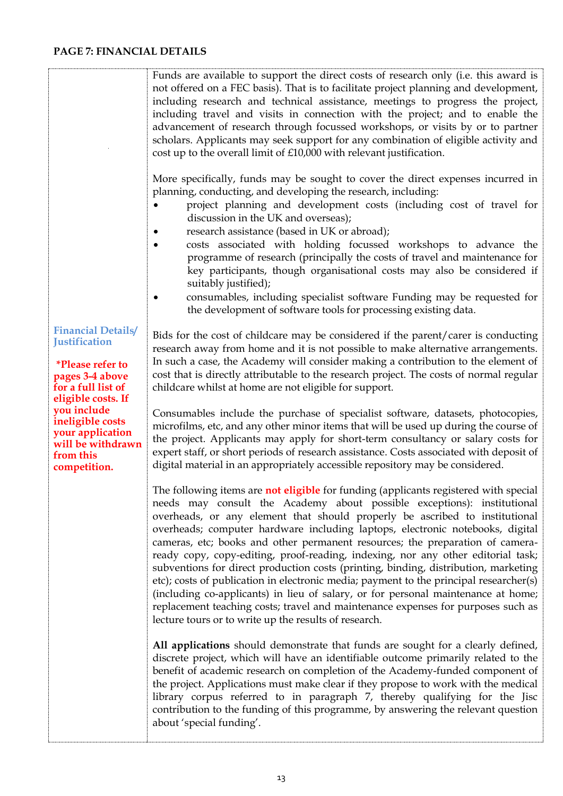### **PAGE 7: FINANCIAL DETAILS**

ŧ

|                                                                                                                                             | Funds are available to support the direct costs of research only (i.e. this award is<br>not offered on a FEC basis). That is to facilitate project planning and development,<br>including research and technical assistance, meetings to progress the project,<br>including travel and visits in connection with the project; and to enable the<br>advancement of research through focussed workshops, or visits by or to partner<br>scholars. Applicants may seek support for any combination of eligible activity and<br>cost up to the overall limit of £10,000 with relevant justification.<br>More specifically, funds may be sought to cover the direct expenses incurred in                                                                                                                                                                                                                                      |
|---------------------------------------------------------------------------------------------------------------------------------------------|-------------------------------------------------------------------------------------------------------------------------------------------------------------------------------------------------------------------------------------------------------------------------------------------------------------------------------------------------------------------------------------------------------------------------------------------------------------------------------------------------------------------------------------------------------------------------------------------------------------------------------------------------------------------------------------------------------------------------------------------------------------------------------------------------------------------------------------------------------------------------------------------------------------------------|
|                                                                                                                                             | planning, conducting, and developing the research, including:<br>project planning and development costs (including cost of travel for<br>discussion in the UK and overseas);<br>research assistance (based in UK or abroad);                                                                                                                                                                                                                                                                                                                                                                                                                                                                                                                                                                                                                                                                                            |
|                                                                                                                                             | costs associated with holding focussed workshops to advance the<br>٠<br>programme of research (principally the costs of travel and maintenance for<br>key participants, though organisational costs may also be considered if<br>suitably justified);                                                                                                                                                                                                                                                                                                                                                                                                                                                                                                                                                                                                                                                                   |
|                                                                                                                                             | consumables, including specialist software Funding may be requested for<br>the development of software tools for processing existing data.                                                                                                                                                                                                                                                                                                                                                                                                                                                                                                                                                                                                                                                                                                                                                                              |
| <b>Financial Details/</b><br><b>Justification</b><br><i>*Please refer to</i><br>pages 3-4 above<br>for a full list of<br>eligible costs. If | Bids for the cost of childcare may be considered if the parent/carer is conducting<br>research away from home and it is not possible to make alternative arrangements.<br>In such a case, the Academy will consider making a contribution to the element of<br>cost that is directly attributable to the research project. The costs of normal regular<br>childcare whilst at home are not eligible for support.                                                                                                                                                                                                                                                                                                                                                                                                                                                                                                        |
| you include<br>ineligible costs<br>your application<br>will be withdrawn<br>from this<br>competition.                                       | Consumables include the purchase of specialist software, datasets, photocopies,<br>microfilms, etc, and any other minor items that will be used up during the course of<br>the project. Applicants may apply for short-term consultancy or salary costs for<br>expert staff, or short periods of research assistance. Costs associated with deposit of<br>digital material in an appropriately accessible repository may be considered.                                                                                                                                                                                                                                                                                                                                                                                                                                                                                 |
|                                                                                                                                             | The following items are not eligible for funding (applicants registered with special<br>needs may consult the Academy about possible exceptions): institutional<br>overheads, or any element that should properly be ascribed to institutional<br>overheads; computer hardware including laptops, electronic notebooks, digital<br>cameras, etc; books and other permanent resources; the preparation of camera-<br>ready copy, copy-editing, proof-reading, indexing, nor any other editorial task;<br>subventions for direct production costs (printing, binding, distribution, marketing<br>etc); costs of publication in electronic media; payment to the principal researcher(s)<br>(including co-applicants) in lieu of salary, or for personal maintenance at home;<br>replacement teaching costs; travel and maintenance expenses for purposes such as<br>lecture tours or to write up the results of research. |
|                                                                                                                                             | All applications should demonstrate that funds are sought for a clearly defined,<br>discrete project, which will have an identifiable outcome primarily related to the<br>benefit of academic research on completion of the Academy-funded component of<br>the project. Applications must make clear if they propose to work with the medical<br>library corpus referred to in paragraph 7, thereby qualifying for the Jisc<br>contribution to the funding of this programme, by answering the relevant question<br>about 'special funding'.                                                                                                                                                                                                                                                                                                                                                                            |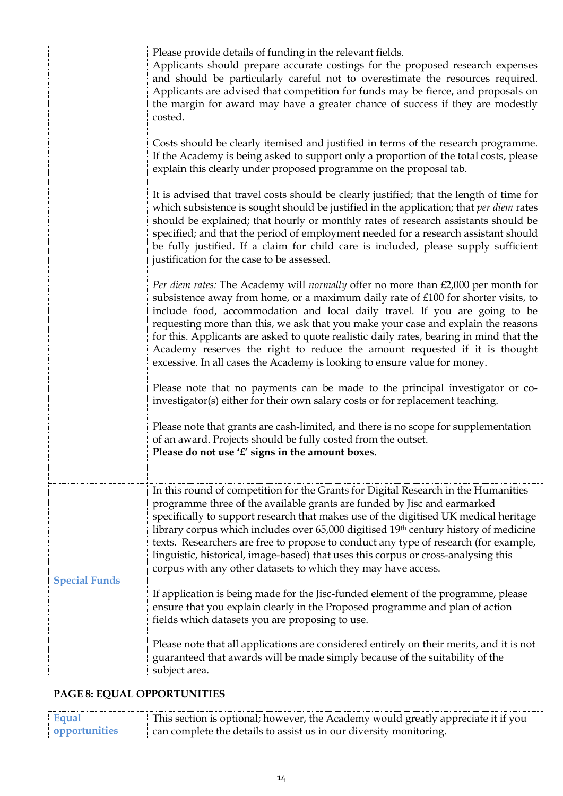|                      | Please provide details of funding in the relevant fields.<br>Applicants should prepare accurate costings for the proposed research expenses<br>and should be particularly careful not to overestimate the resources required.<br>Applicants are advised that competition for funds may be fierce, and proposals on<br>the margin for award may have a greater chance of success if they are modestly<br>costed.                                                                                                                                                                                  |
|----------------------|--------------------------------------------------------------------------------------------------------------------------------------------------------------------------------------------------------------------------------------------------------------------------------------------------------------------------------------------------------------------------------------------------------------------------------------------------------------------------------------------------------------------------------------------------------------------------------------------------|
|                      | Costs should be clearly itemised and justified in terms of the research programme.<br>If the Academy is being asked to support only a proportion of the total costs, please<br>explain this clearly under proposed programme on the proposal tab.                                                                                                                                                                                                                                                                                                                                                |
|                      | It is advised that travel costs should be clearly justified; that the length of time for<br>which subsistence is sought should be justified in the application; that per diem rates<br>should be explained; that hourly or monthly rates of research assistants should be<br>specified; and that the period of employment needed for a research assistant should<br>be fully justified. If a claim for child care is included, please supply sufficient<br>justification for the case to be assessed.                                                                                            |
|                      | Per diem rates: The Academy will normally offer no more than £2,000 per month for<br>subsistence away from home, or a maximum daily rate of £100 for shorter visits, to<br>include food, accommodation and local daily travel. If you are going to be<br>requesting more than this, we ask that you make your case and explain the reasons<br>for this. Applicants are asked to quote realistic daily rates, bearing in mind that the<br>Academy reserves the right to reduce the amount requested if it is thought<br>excessive. In all cases the Academy is looking to ensure value for money. |
|                      | Please note that no payments can be made to the principal investigator or co-<br>investigator(s) either for their own salary costs or for replacement teaching.                                                                                                                                                                                                                                                                                                                                                                                                                                  |
|                      | Please note that grants are cash-limited, and there is no scope for supplementation<br>of an award. Projects should be fully costed from the outset.<br>Please do not use ' $f'$ signs in the amount boxes.                                                                                                                                                                                                                                                                                                                                                                                      |
| <b>Special Funds</b> | In this round of competition for the Grants for Digital Research in the Humanities<br>programme three of the available grants are funded by Jisc and earmarked<br>specifically to support research that makes use of the digitised UK medical heritage<br>library corpus which includes over 65,000 digitised 19th century history of medicine<br>texts. Researchers are free to propose to conduct any type of research (for example,<br>linguistic, historical, image-based) that uses this corpus or cross-analysing this<br>corpus with any other datasets to which they may have access.    |
|                      | If application is being made for the Jisc-funded element of the programme, please<br>ensure that you explain clearly in the Proposed programme and plan of action<br>fields which datasets you are proposing to use.                                                                                                                                                                                                                                                                                                                                                                             |
|                      | Please note that all applications are considered entirely on their merits, and it is not<br>guaranteed that awards will be made simply because of the suitability of the<br>subject area.                                                                                                                                                                                                                                                                                                                                                                                                        |

# **PAGE 8: EQUAL OPPORTUNITIES**

| Equal         | This section is optional; however, the Academy would greatly appreciate it if you |
|---------------|-----------------------------------------------------------------------------------|
| opportunities | $\alpha$ can complete the details to assist us in our diversity monitoring.       |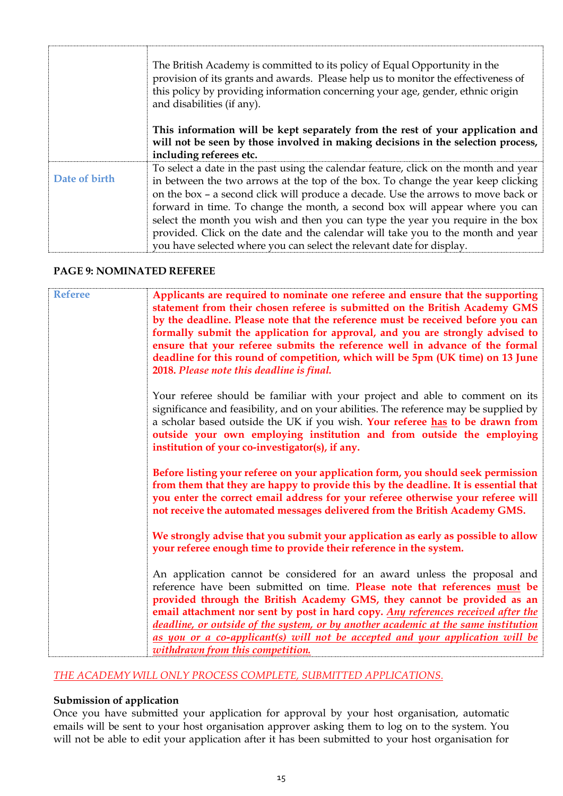|               | The British Academy is committed to its policy of Equal Opportunity in the<br>provision of its grants and awards. Please help us to monitor the effectiveness of<br>this policy by providing information concerning your age, gender, ethnic origin<br>and disabilities (if any).                                                                                                                                                                                                                                                                                                              |
|---------------|------------------------------------------------------------------------------------------------------------------------------------------------------------------------------------------------------------------------------------------------------------------------------------------------------------------------------------------------------------------------------------------------------------------------------------------------------------------------------------------------------------------------------------------------------------------------------------------------|
|               | This information will be kept separately from the rest of your application and<br>will not be seen by those involved in making decisions in the selection process,<br>including referees etc.                                                                                                                                                                                                                                                                                                                                                                                                  |
| Date of birth | To select a date in the past using the calendar feature, click on the month and year<br>in between the two arrows at the top of the box. To change the year keep clicking<br>on the box – a second click will produce a decade. Use the arrows to move back or<br>forward in time. To change the month, a second box will appear where you can<br>select the month you wish and then you can type the year you require in the box<br>provided. Click on the date and the calendar will take you to the month and year<br>you have selected where you can select the relevant date for display. |

#### **PAGE 9: NOMINATED REFEREE**

| <b>Referee</b> | Applicants are required to nominate one referee and ensure that the supporting<br>statement from their chosen referee is submitted on the British Academy GMS<br>by the deadline. Please note that the reference must be received before you can<br>formally submit the application for approval, and you are strongly advised to<br>ensure that your referee submits the reference well in advance of the formal<br>deadline for this round of competition, which will be 5pm (UK time) on 13 June<br>2018. Please note this deadline is final. |
|----------------|--------------------------------------------------------------------------------------------------------------------------------------------------------------------------------------------------------------------------------------------------------------------------------------------------------------------------------------------------------------------------------------------------------------------------------------------------------------------------------------------------------------------------------------------------|
|                | Your referee should be familiar with your project and able to comment on its<br>significance and feasibility, and on your abilities. The reference may be supplied by<br>a scholar based outside the UK if you wish. Your referee has to be drawn from<br>outside your own employing institution and from outside the employing<br>institution of your co-investigator(s), if any.                                                                                                                                                               |
|                | Before listing your referee on your application form, you should seek permission<br>from them that they are happy to provide this by the deadline. It is essential that<br>you enter the correct email address for your referee otherwise your referee will<br>not receive the automated messages delivered from the British Academy GMS.                                                                                                                                                                                                        |
|                | We strongly advise that you submit your application as early as possible to allow<br>your referee enough time to provide their reference in the system.                                                                                                                                                                                                                                                                                                                                                                                          |
|                | An application cannot be considered for an award unless the proposal and<br>reference have been submitted on time. Please note that references must be<br>provided through the British Academy GMS, they cannot be provided as an<br>email attachment nor sent by post in hard copy. Any references received after the<br>deadline, or outside of the system, or by another academic at the same institution<br>as you or a co-applicant(s) will not be accepted and your application will be<br>withdrawn from this competition.                |

#### *THE ACADEMY WILL ONLY PROCESS COMPLETE, SUBMITTED APPLICATIONS.*

#### **Submission of application**

Once you have submitted your application for approval by your host organisation, automatic emails will be sent to your host organisation approver asking them to log on to the system. You will not be able to edit your application after it has been submitted to your host organisation for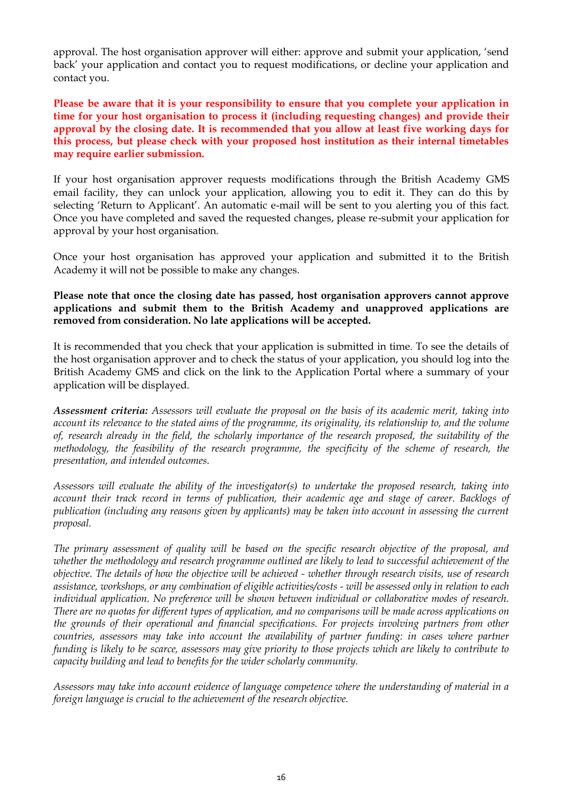approval. The host organisation approver will either: approve and submit your application, 'send back' your application and contact you to request modifications, or decline your application and contact you.

**Please be aware that it is your responsibility to ensure that you complete your application in time for your host organisation to process it (including requesting changes) and provide their approval by the closing date. It is recommended that you allow at least five working days for this process, but please check with your proposed host institution as their internal timetables may require earlier submission.**

If your host organisation approver requests modifications through the British Academy GMS email facility, they can unlock your application, allowing you to edit it. They can do this by selecting 'Return to Applicant'. An automatic e-mail will be sent to you alerting you of this fact. Once you have completed and saved the requested changes, please re-submit your application for approval by your host organisation.

Once your host organisation has approved your application and submitted it to the British Academy it will not be possible to make any changes.

#### **Please note that once the closing date has passed, host organisation approvers cannot approve applications and submit them to the British Academy and unapproved applications are removed from consideration. No late applications will be accepted.**

It is recommended that you check that your application is submitted in time. To see the details of the host organisation approver and to check the status of your application, you should log into the British Academy GMS and click on the link to the Application Portal where a summary of your application will be displayed.

*Assessment criteria: Assessors will evaluate the proposal on the basis of its academic merit, taking into account its relevance to the stated aims of the programme, its originality, its relationship to, and the volume of, research already in the field, the scholarly importance of the research proposed, the suitability of the methodology, the feasibility of the research programme, the specificity of the scheme of research, the presentation, and intended outcomes.*

*Assessors will evaluate the ability of the investigator(s) to undertake the proposed research, taking into account their track record in terms of publication, their academic age and stage of career. Backlogs of publication (including any reasons given by applicants) may be taken into account in assessing the current proposal.*

*The primary assessment of quality will be based on the specific research objective of the proposal, and whether the methodology and research programme outlined are likely to lead to successful achievement of the objective. The details of how the objective will be achieved - whether through research visits, use of research assistance, workshops, or any combination of eligible activities/costs - will be assessed only in relation to each individual application. No preference will be shown between individual or collaborative modes of research. There are no quotas for different types of application, and no comparisons will be made across applications on the grounds of their operational and financial specifications. For projects involving partners from other countries, assessors may take into account the availability of partner funding: in cases where partner funding is likely to be scarce, assessors may give priority to those projects which are likely to contribute to capacity building and lead to benefits for the wider scholarly community.*

*Assessors may take into account evidence of language competence where the understanding of material in a foreign language is crucial to the achievement of the research objective.*